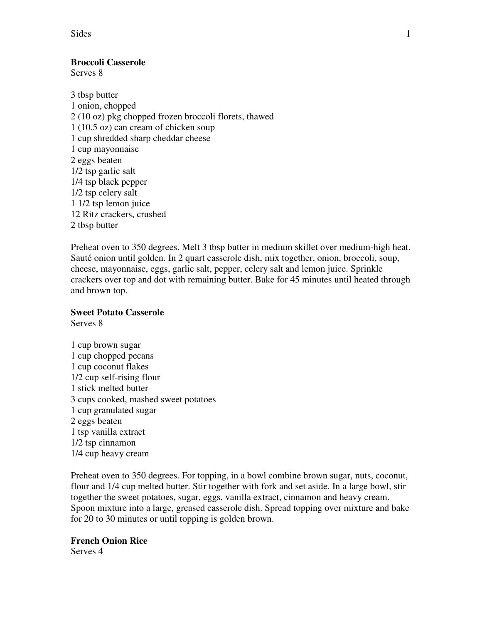Sides 1

## **Broccoli Casserole**

Serves 8

3 tbsp butter 1 onion, chopped 2 (10 oz) pkg chopped frozen broccoli florets, thawed 1 (10.5 oz) can cream of chicken soup 1 cup shredded sharp cheddar cheese 1 cup mayonnaise 2 eggs beaten 1/2 tsp garlic salt 1/4 tsp black pepper 1/2 tsp celery salt 1 1/2 tsp lemon juice 12 Ritz crackers, crushed 2 tbsp butter

Preheat oven to 350 degrees. Melt 3 tbsp butter in medium skillet over medium-high heat. Sauté onion until golden. In 2 quart casserole dish, mix together, onion, broccoli, soup, cheese, mayonnaise, eggs, garlic salt, pepper, celery salt and lemon juice. Sprinkle crackers over top and dot with remaining butter. Bake for 45 minutes until heated through and brown top.

### **Sweet Potato Casserole**

Serves 8

1 cup brown sugar 1 cup chopped pecans 1 cup coconut flakes 1/2 cup self-rising flour 1 stick melted butter 3 cups cooked, mashed sweet potatoes 1 cup granulated sugar 2 eggs beaten 1 tsp vanilla extract 1/2 tsp cinnamon 1/4 cup heavy cream

Preheat oven to 350 degrees. For topping, in a bowl combine brown sugar, nuts, coconut, flour and 1/4 cup melted butter. Stir together with fork and set aside. In a large bowl, stir together the sweet potatoes, sugar, eggs, vanilla extract, cinnamon and heavy cream. Spoon mixture into a large, greased casserole dish. Spread topping over mixture and bake for 20 to 30 minutes or until topping is golden brown.

### **French Onion Rice**

Serves 4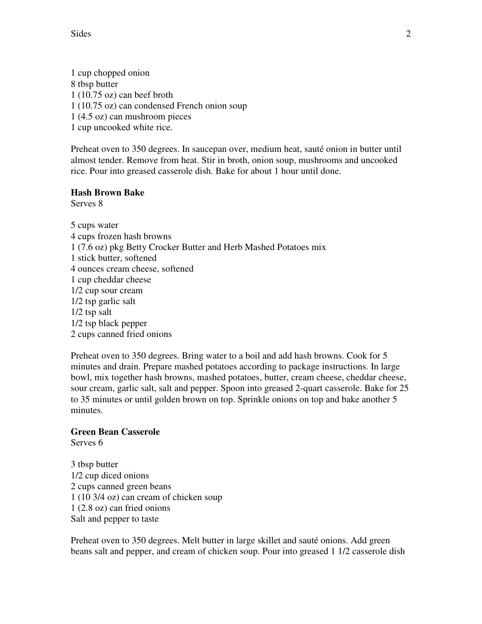Sides 2

1 cup chopped onion 8 tbsp butter 1 (10.75 oz) can beef broth 1 (10.75 oz) can condensed French onion soup 1 (4.5 oz) can mushroom pieces 1 cup uncooked white rice.

Preheat oven to 350 degrees. In saucepan over, medium heat, sauté onion in butter until almost tender. Remove from heat. Stir in broth, onion soup, mushrooms and uncooked rice. Pour into greased casserole dish. Bake for about 1 hour until done.

## **Hash Brown Bake**

Serves 8

5 cups water 4 cups frozen hash browns 1 (7.6 oz) pkg Betty Crocker Butter and Herb Mashed Potatoes mix 1 stick butter, softened 4 ounces cream cheese, softened 1 cup cheddar cheese 1/2 cup sour cream 1/2 tsp garlic salt 1/2 tsp salt 1/2 tsp black pepper 2 cups canned fried onions

Preheat oven to 350 degrees. Bring water to a boil and add hash browns. Cook for 5 minutes and drain. Prepare mashed potatoes according to package instructions. In large bowl, mix together hash browns, mashed potatoes, butter, cream cheese, cheddar cheese, sour cream, garlic salt, salt and pepper. Spoon into greased 2-quart casserole. Bake for 25 to 35 minutes or until golden brown on top. Sprinkle onions on top and bake another 5 minutes.

# **Green Bean Casserole**

Serves 6

3 tbsp butter 1/2 cup diced onions 2 cups canned green beans 1 (10 3/4 oz) can cream of chicken soup 1 (2.8 oz) can fried onions Salt and pepper to taste

Preheat oven to 350 degrees. Melt butter in large skillet and sauté onions. Add green beans salt and pepper, and cream of chicken soup. Pour into greased 1 1/2 casserole dish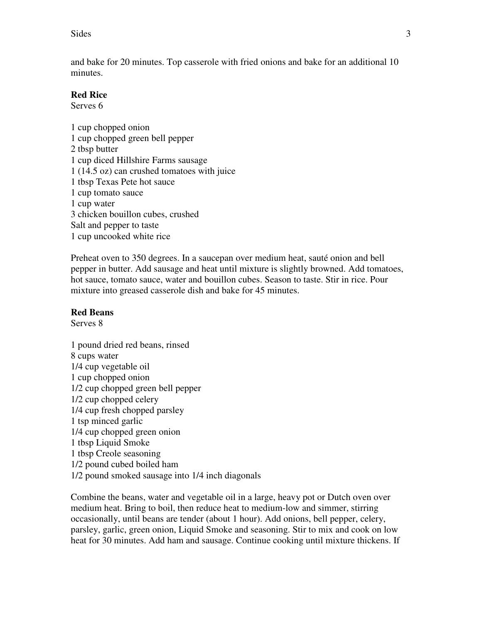and bake for 20 minutes. Top casserole with fried onions and bake for an additional 10 minutes.

## **Red Rice**

Serves 6

1 cup chopped onion 1 cup chopped green bell pepper 2 tbsp butter 1 cup diced Hillshire Farms sausage 1 (14.5 oz) can crushed tomatoes with juice 1 tbsp Texas Pete hot sauce 1 cup tomato sauce 1 cup water 3 chicken bouillon cubes, crushed Salt and pepper to taste 1 cup uncooked white rice

Preheat oven to 350 degrees. In a saucepan over medium heat, sauté onion and bell pepper in butter. Add sausage and heat until mixture is slightly browned. Add tomatoes, hot sauce, tomato sauce, water and bouillon cubes. Season to taste. Stir in rice. Pour mixture into greased casserole dish and bake for 45 minutes.

### **Red Beans**

Serves 8

1 pound dried red beans, rinsed 8 cups water 1/4 cup vegetable oil 1 cup chopped onion 1/2 cup chopped green bell pepper 1/2 cup chopped celery 1/4 cup fresh chopped parsley 1 tsp minced garlic 1/4 cup chopped green onion 1 tbsp Liquid Smoke 1 tbsp Creole seasoning 1/2 pound cubed boiled ham 1/2 pound smoked sausage into 1/4 inch diagonals

Combine the beans, water and vegetable oil in a large, heavy pot or Dutch oven over medium heat. Bring to boil, then reduce heat to medium-low and simmer, stirring occasionally, until beans are tender (about 1 hour). Add onions, bell pepper, celery, parsley, garlic, green onion, Liquid Smoke and seasoning. Stir to mix and cook on low heat for 30 minutes. Add ham and sausage. Continue cooking until mixture thickens. If